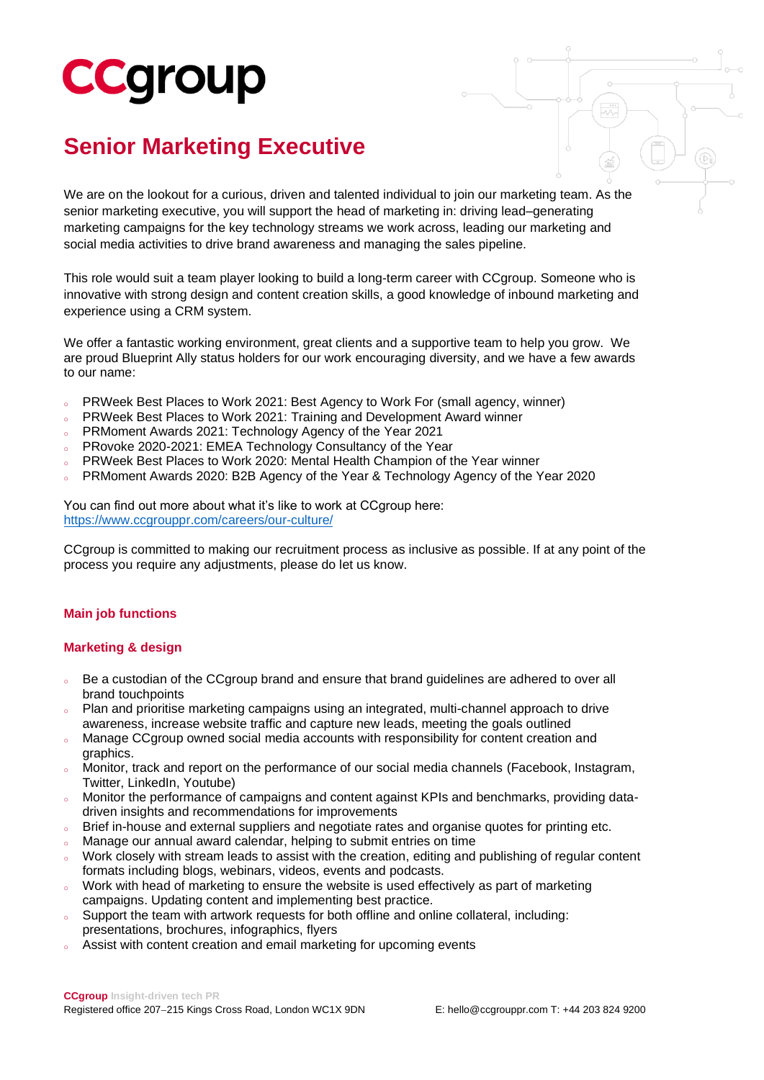# **CCgroup**

### **Senior Marketing Executive**

We are on the lookout for a curious, driven and talented individual to join our marketing team. As the senior marketing executive, you will support the head of marketing in: driving lead–generating marketing campaigns for the key technology streams we work across, leading our marketing and social media activities to drive brand awareness and managing the sales pipeline.

This role would suit a team player looking to build a long-term career with CCgroup. Someone who is innovative with strong design and content creation skills, a good knowledge of inbound marketing and experience using a CRM system.

We offer a fantastic working environment, great clients and a supportive team to help you grow. We are proud Blueprint Ally status holders for our work encouraging diversity, and we have a few awards to our name:

- o PRWeek Best Places to Work 2021: Best Agency to Work For (small agency, winner)
- PRWeek Best Places to Work 2021: Training and Development Award winner
- PRMoment Awards 2021: Technology Agency of the Year 2021
- PRovoke 2020-2021: EMEA Technology Consultancy of the Year
- PRWeek Best Places to Work 2020: Mental Health Champion of the Year winner
- PRMoment Awards 2020: B2B Agency of the Year & Technology Agency of the Year 2020

You can find out more about what it's like to work at CCgroup here: <https://www.ccgrouppr.com/careers/our-culture/>

CCgroup is committed to making our recruitment process as inclusive as possible. If at any point of the process you require any adjustments, please do let us know.

#### **Main job functions**

#### **Marketing & design**

- Be a custodian of the CCgroup brand and ensure that brand guidelines are adhered to over all brand touchpoints
- Plan and prioritise marketing campaigns using an integrated, multi-channel approach to drive awareness, increase website traffic and capture new leads, meeting the goals outlined
- Manage CCgroup owned social media accounts with responsibility for content creation and graphics.
- o Monitor, track and report on the performance of our social media channels (Facebook, Instagram, Twitter, LinkedIn, Youtube)
- Monitor the performance of campaigns and content against KPIs and benchmarks, providing datadriven insights and recommendations for improvements
- o Brief in-house and external suppliers and negotiate rates and organise quotes for printing etc.
- Manage our annual award calendar, helping to submit entries on time
- Work closely with stream leads to assist with the creation, editing and publishing of regular content formats including blogs, webinars, videos, events and podcasts.
- o Work with head of marketing to ensure the website is used effectively as part of marketing campaigns. Updating content and implementing best practice.
- o Support the team with artwork requests for both offline and online collateral, including: presentations, brochures, infographics, flyers
- Assist with content creation and email marketing for upcoming events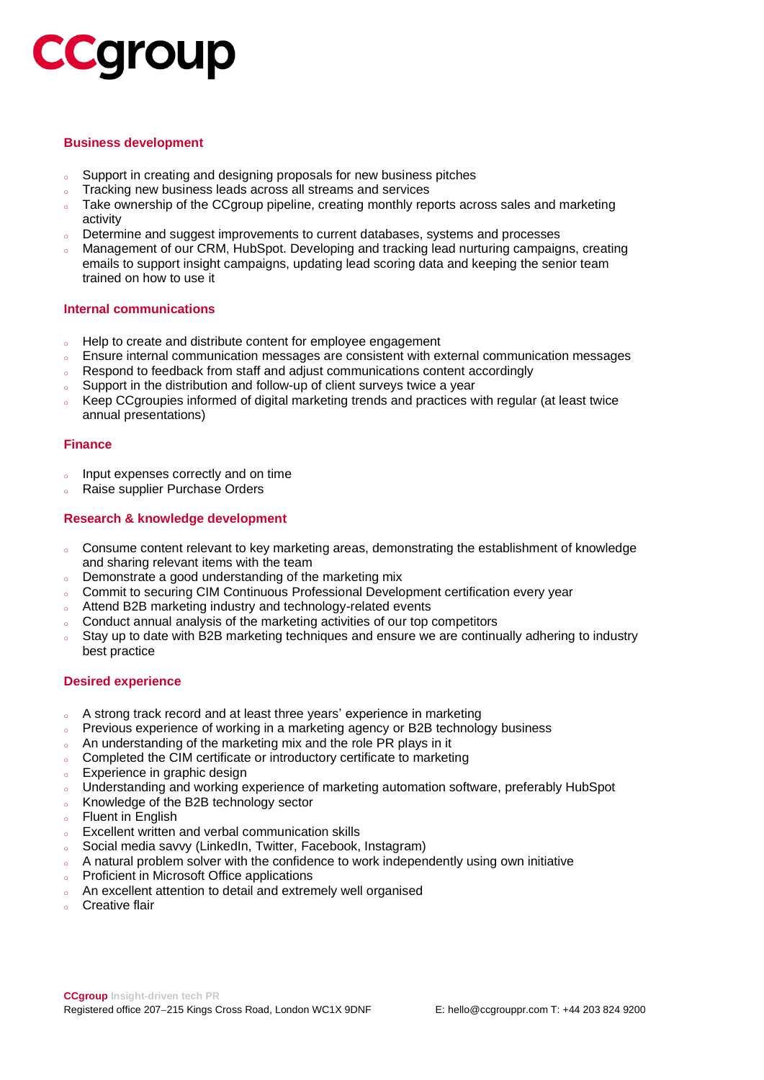## **CCQroup**

#### **Business development**

- Support in creating and designing proposals for new business pitches
- o Tracking new business leads across all streams and services
- o Take ownership of the CCgroup pipeline, creating monthly reports across sales and marketing activity
- <sup>o</sup> Determine and suggest improvements to current databases, systems and processes
- Management of our CRM. HubSpot. Developing and tracking lead nurturing campaigns, creating emails to support insight campaigns, updating lead scoring data and keeping the senior team trained on how to use it

#### **Internal communications**

- <sup>o</sup> Help to create and distribute content for employee engagement
- Ensure internal communication messages are consistent with external communication messages
- o Respond to feedback from staff and adjust communications content accordingly
- Support in the distribution and follow-up of client surveys twice a year
- Keep CCgroupies informed of digital marketing trends and practices with regular (at least twice annual presentations)

#### **Finance**

- Input expenses correctly and on time
- Raise supplier Purchase Orders

#### **Research & knowledge development**

- o Consume content relevant to key marketing areas, demonstrating the establishment of knowledge and sharing relevant items with the team
- o Demonstrate a good understanding of the marketing mix
- Commit to securing CIM Continuous Professional Development certification every year
- Attend B2B marketing industry and technology-related events
- o Conduct annual analysis of the marketing activities of our top competitors
- Stay up to date with B2B marketing techniques and ensure we are continually adhering to industry best practice

#### **Desired experience**

- <sup>o</sup> A strong track record and at least three years' experience in marketing
- Previous experience of working in a marketing agency or B2B technology business
- An understanding of the marketing mix and the role PR plays in it
- Completed the CIM certificate or introductory certificate to marketing
- <sup>o</sup> Experience in graphic design
- o Understanding and working experience of marketing automation software, preferably HubSpot
- <sup>o</sup> Knowledge of the B2B technology sector
- <sup>o</sup> Fluent in English
- <sup>o</sup> Excellent written and verbal communication skills
- Social media savvy (LinkedIn, Twitter, Facebook, Instagram)
- A natural problem solver with the confidence to work independently using own initiative
- Proficient in Microsoft Office applications
- An excellent attention to detail and extremely well organised
- **Creative flair**